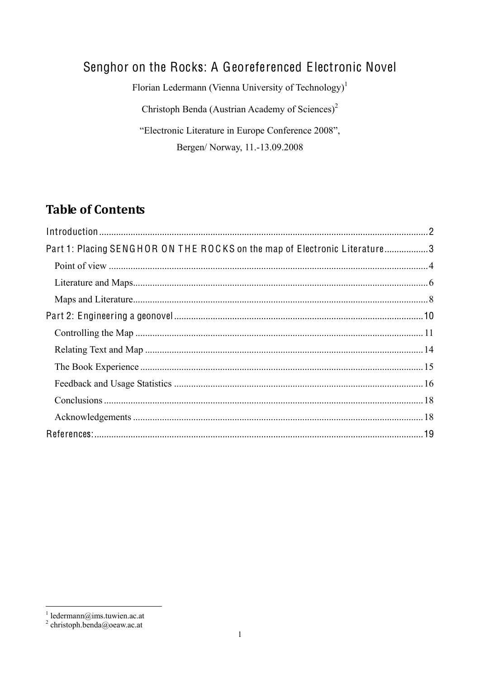# Senghor on the Rocks: A Georeferenced Electronic Novel

Florian Ledermann (Vienna University of Technology)<sup>1</sup>

Christoph Benda (Austrian Academy of Sciences)<sup>2</sup>

"Electronic Literature in Europe Conference 2008", Bergen/ Norway, 11.-13.09.2008

# **Table of Contents**

| Part 1: Placing SENGHOR ON THE ROCKS on the map of Electronic Literature3 |  |
|---------------------------------------------------------------------------|--|
|                                                                           |  |
|                                                                           |  |
|                                                                           |  |
|                                                                           |  |
|                                                                           |  |
|                                                                           |  |
|                                                                           |  |
|                                                                           |  |
|                                                                           |  |
|                                                                           |  |
|                                                                           |  |
|                                                                           |  |

 $\frac{1}{2}$  ledermann@ims.tuwien.ac.at<br> $\frac{2}{2}$  christoph.benda@oeaw.ac.at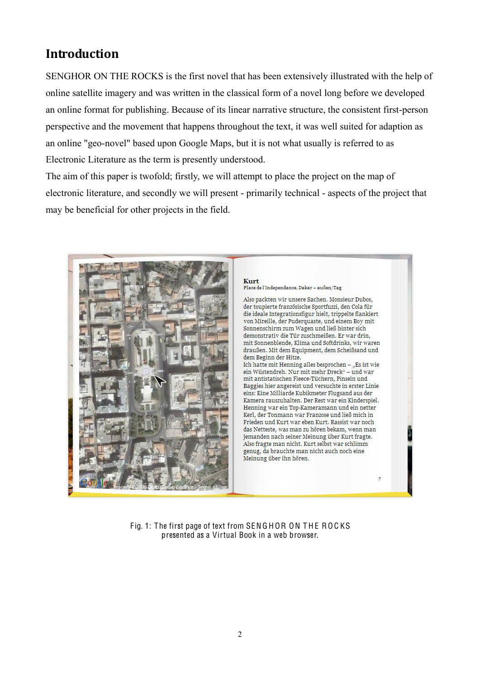# **Introduction**

SENGHOR ON THE ROCKS is the first novel that has been extensively illustrated with the help of online satellite imagery and was written in the classical form of a novel long before we developed an online format for publishing. Because of its linear narrative structure, the consistent first-person perspective and the movement that happens throughout the text, it was well suited for adaption as an online "geo-novel" based upon Google Maps, but it is not what usually is referred to as Electronic Literature as the term is presently understood.

The aim of this paper is twofold; firstly, we will attempt to place the project on the map of electronic literature, and secondly we will present - primarily technical - aspects of the project that may be beneficial for other projects in the field.



Fig. 1: The first page of text from SENGHOR ON THE ROCKS presented as a Virtual Book in a web browser.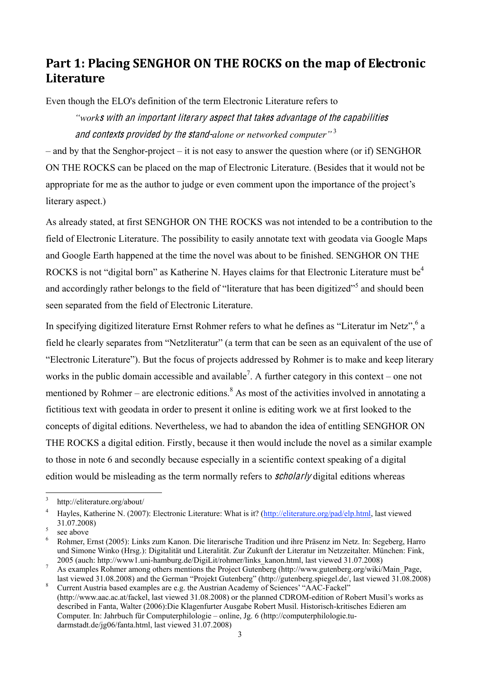# **Part 1: Placing SENGHOR ON THE ROCKS on the map of Electronic Literature**

Even though the ELO's definition of the term Electronic Literature refers to

*"work*<sup>s</sup> with an importan<sup>t</sup> literary <sup>a</sup>spec<sup>t</sup> <sup>t</sup>ha<sup>t</sup> <sup>t</sup>ake<sup>s</sup> advantag<sup>e</sup> <sup>o</sup>f <sup>t</sup>h<sup>e</sup> <sup>c</sup>apabilitie<sup>s</sup> and <sup>c</sup>ontexts provide<sup>d</sup> by <sup>t</sup>h<sup>e</sup> stand-*alone or networked computer"* <sup>3</sup>

 $\overline{\phantom{a}}$  and by that the Senghor-project  $\overline{\phantom{a}}$  is not easy to answer the question where (or if) SENGHOR ON THE ROCKS can be placed on the map of Electronic Literature. (Besides that it would not be appropriate for me as the author to judge or even comment upon the importance of the project's literary aspect.)

As already stated, at first SENGHOR ON THE ROCKS was not intended to be a contribution to the field of Electronic Literature. The possibility to easily annotate text with geodata via Google Maps and Google Earth happened at the time the novel was about to be finished. SENGHOR ON THE ROCKS is not "digital born" as Katherine N. Hayes claims for that Electronic Literature must be<sup>4</sup> and accordingly rather belongs to the field of "literature that has been digitized"<sup>5</sup> and should been seen separated from the field of Electronic Literature.

In specifying digitized literature Ernst Rohmer refers to what he defines as "Literatur im Netz",  $6$  a field he clearly separates from "Netzliteratur" (a term that can be seen as an equivalent of the use of "Electronic Literature"). But the focus of projects addressed by Rohmer is to make and keep literary works in the public domain accessible and available<sup>7</sup>. A further category in this context – one not mentioned by Rohmer – are electronic editions.<sup>8</sup> As most of the activities involved in annotating a fictitious text with geodata in order to present it online is editing work we at first looked to the concepts of digital editions. Nevertheless, we had to abandon the idea of entitling SENGHOR ON THE ROCKS a digital edition. Firstly, because it then would include the novel as a similar example to those in note 6 and secondly because especially in a scientific context speaking of a digital edition would be misleading as the term normally refers to *scholarly* digital editions whereas

 <sup>3</sup> http://eliterature.org/about/

<sup>4</sup> Hayles, Katherine N. (2007): Electronic Literature: What is it? [\(http://eliterature.org/pad/elp.html,](http://eliterature.org/pad/elp.html) last viewed 31.07.2008)<br>see above<br>Rohmer, Ernst (2005): Links zum Kanon. Die literarische Tradition und ihre Präsenz im Netz. In: Segeberg, Harro

und Simone Winko (Hrsg.): Digitalität und Literalität. Zur Zukunft der Literatur im Netzzeitalter. München: Fink, 2005 (auch: http://www1.uni-hamburg.de/DigiLit/rohmer/links kanon.html, last viewed 31.07.2008)

<sup>&</sup>lt;sup>7</sup> As examples Rohmer among others mentions the Project Gutenberg (http://www.gutenberg.org/wiki/Main\_Page,<br>last viewed 31.08.2008) and the German "Projekt Gutenberg" (http://gutenberg.spiegel.de/, last viewed 31.08.2008)

<sup>&</sup>lt;sup>8</sup> Current Austria based examples are e.g. the Austrian Academy of Sciences' "AAC-Fackel" (http://www.aac.ac.at/fackel, last viewed 31.08.2008) or the planned CDROM-edition of Robert Musil's works as described in Fanta, Walter (2006):Die Klagenfurter Ausgabe Robert Musil. Historisch-kritisches Edieren am Computer. In: Jahrbuch für Computerphilologie – online, Jg. 6 (http://computerphilologie.tudarmstadt.de/jg06/fanta.html, last viewed 31.07.2008)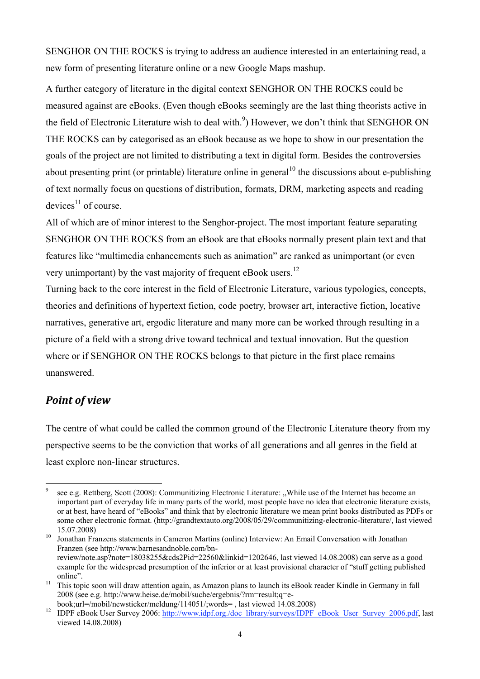SENGHOR ON THE ROCKS is trying to address an audience interested in an entertaining read, a new form of presenting literature online or a new Google Maps mashup.

A further category of literature in the digital context SENGHOR ON THE ROCKS could be measured against are eBooks. (Even though eBooks seemingly are the last thing theorists active in the field of Electronic Literature wish to deal with.<sup>9</sup>) However, we don't think that SENGHOR ON THE ROCKS can by categorised as an eBook because as we hope to show in our presentation the goals of the project are not limited to distributing a text in digital form. Besides the controversies about presenting print (or printable) literature online in general<sup>10</sup> the discussions about e-publishing of text normally focus on questions of distribution, formats, DRM, marketing aspects and reading devices $^{11}$  of course.

All of which are of minor interest to the Senghor-project. The most important feature separating SENGHOR ON THE ROCKS from an eBook are that eBooks normally present plain text and that features like "multimedia enhancements such as animation" are ranked as unimportant (or even very unimportant) by the vast majority of frequent eBook users.<sup>12</sup>

Turning back to the core interest in the field of Electronic Literature, various typologies, concepts, theories and definitions of hypertext fiction, code poetry, browser art, interactive fiction, locative narratives, generative art, ergodic literature and many more can be worked through resulting in a picture of a field with a strong drive toward technical and textual innovation. But the question where or if SENGHOR ON THE ROCKS belongs to that picture in the first place remains unanswered.

### *Point of view*

The centre of what could be called the common ground of the Electronic Literature theory from my perspective seems to be the conviction that works of all generations and all genres in the field at least explore non-linear structures.

see e.g. Rettberg, Scott (2008): Communitizing Electronic Literature: "While use of the Internet has become an important part of everyday life in many parts of the world, most people have no idea that electronic literature exists, or at best, have heard of "eBooks" and think that by electronic literature we mean print books distributed as PDFs or some other electronic format. (http://grandtextauto.org/2008/05/29/communitizing-electronic-literature/, last viewed 15.07.2008)<br>Jonathan Franzens statements in Cameron Martins (online) Interview: An Email Conversation with Jonathan

Franzen (see http://www.barnesandnoble.com/bnreview/note.asp?note=18038255&cds2Pid=22560&linkid=1202646, last viewed 14.08.2008) can serve as a good example for the widespread presumption of the inferior or at least provisional character of "stuff getting published"

online".<br><sup>11</sup> This topic soon will draw attention again, as Amazon plans to launch its eBook reader Kindle in Germany in fall 2008 (see e.g. http://www.heise.de/mobil/suche/ergebnis/?rm=result;q=e-

book;url=/mobil/newsticker/meldung/114051/;words=, last viewed 14.08.2008)<br><sup>12</sup> IDPF eBook User Survey 2006: [http://www.idpf.org./doc\\_library/surveys/IDPF\\_eBook\\_User\\_Survey\\_2006.pdf,](http://www.idpf.org./doc_library/surveys/IDPF_eBook_User_Survey_2006.pdf) last viewed 14.08.2008)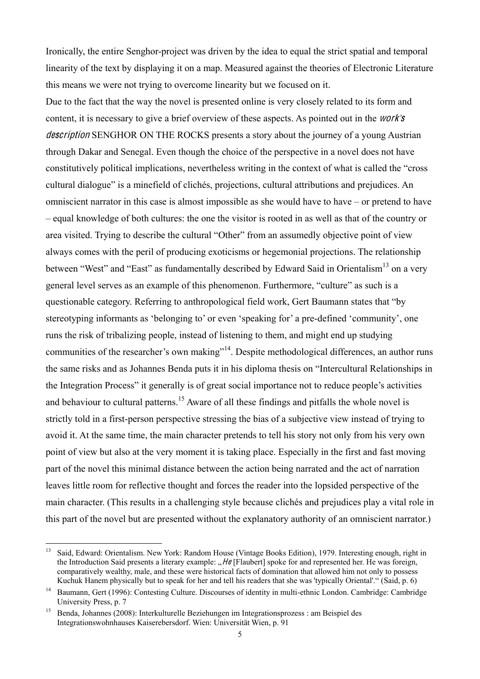Ironically, the entire Senghor-project was driven by the idea to equal the strict spatial and temporal linearity of the text by displaying it on a map. Measured against the theories of Electronic Literature this means we were not trying to overcome linearity but we focused on it.

Due to the fact that the way the novel is presented online is very closely related to its form and content, it is necessary to give a brief overview of these aspects. As pointed out in the work*'*<sup>s</sup> description SENGHOR ON THE ROCKS presents a story about the journey of a young Austrian through Dakar and Senegal. Even though the choice of the perspective in a novel does not have constitutively political implications, nevertheless writing in the context of what is called the "cross" cultural dialogue" is a minefield of clichés, projections, cultural attributions and prejudices. An omniscient narrator in this case is almost impossible as she would have to have  $-$  or pretend to have 6 equal knowledge of both cultures: the one the visitor is rooted in as well as that of the country or area visited. Trying to describe the cultural "Other" from an assumedly objective point of view always comes with the peril of producing exoticisms or hegemonial projections. The relationship between "West" and "East" as fundamentally described by Edward Said in Orientalism<sup>13</sup> on a very general level serves as an example of this phenomenon. Furthermore, "culture" as such is a questionable category. Referring to anthropological field work, Gert Baumann states that "by stereotyping informants as 'belonging to' or even 'speaking for' a pre-defined 'community', one runs the risk of tribalizing people, instead of listening to them, and might end up studying communities of the researcher's own making"<sup>14</sup>. Despite methodological differences, an author runs the same risks and as Johannes Benda puts it in his diploma thesis on "Intercultural Relationships in the Integration Process" it generally is of great social importance not to reduce people's activities and behaviour to cultural patterns.<sup>15</sup> Aware of all these findings and pitfalls the whole novel is strictly told in a first-person perspective stressing the bias of a subjective view instead of trying to avoid it. At the same time, the main character pretends to tell his story not only from his very own point of view but also at the very moment it is taking place. Especially in the first and fast moving part of the novel this minimal distance between the action being narrated and the act of narration leaves little room for reflective thought and forces the reader into the lopsided perspective of the main character. (This results in a challenging style because clichés and prejudices play a vital role in this part of the novel but are presented without the explanatory authority of an omniscient narrator.)

<sup>&</sup>lt;sup>13</sup> Said, Edward: Orientalism. New York: Random House (Vintage Books Edition), 1979. Interesting enough, right in the Introduction Said presents a literary example:  $H\theta$  [Flaubert] spoke for and represented her. He was foreign, comparatively wealthy, male, and these were historical facts of domination that allowed him not only to possess Kuchuk Hanem physically but to speak for her and tell his readers that she was 'typically Oriental'." (Said, p. 6)

<sup>&</sup>lt;sup>14</sup> Baumann, Gert (1996): Contesting Culture. Discourses of identity in multi-ethnic London. Cambridge: Cambridge University Press, p. 7

<sup>&</sup>lt;sup>15</sup> Benda, Johannes (2008): Interkulturelle Beziehungen im Integrationsprozess : am Beispiel des Integrationswohnhauses Kaiserebersdorf. Wien: Universität Wien, p. 91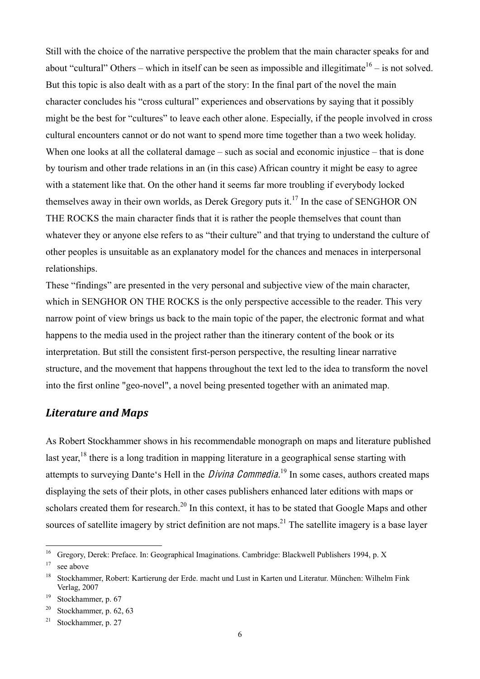Still with the choice of the narrative perspective the problem that the main character speaks for and about "cultural" Others – which in itself can be seen as impossible and illegitimate  $16$  – is not solved. But this topic is also dealt with as a part of the story: In the final part of the novel the main character concludes his "cross cultural" experiences and observations by saying that it possibly might be the best for "cultures" to leave each other alone. Especially, if the people involved in cross cultural encounters cannot or do not want to spend more time together than a two week holiday. When one looks at all the collateral damage  $-$  such as social and economic injustice  $-$  that is done by tourism and other trade relations in an (in this case) African country it might be easy to agree with a statement like that. On the other hand it seems far more troubling if everybody locked themselves away in their own worlds, as Derek Gregory puts it.<sup>17</sup> In the case of SENGHOR ON THE ROCKS the main character finds that it is rather the people themselves that count than whatever they or anyone else refers to as "their culture" and that trying to understand the culture of other peoples is unsuitable as an explanatory model for the chances and menaces in interpersonal relationships.

These "findings" are presented in the very personal and subjective view of the main character, which in SENGHOR ON THE ROCKS is the only perspective accessible to the reader. This very narrow point of view brings us back to the main topic of the paper, the electronic format and what happens to the media used in the project rather than the itinerary content of the book or its interpretation. But still the consistent first-person perspective, the resulting linear narrative structure, and the movement that happens throughout the text led to the idea to transform the novel into the first online "geo-novel", a novel being presented together with an animated map.

#### *Literature and Maps*

As Robert Stockhammer shows in his recommendable monograph on maps and literature published last year,<sup>18</sup> there is a long tradition in mapping literature in a geographical sense starting with attempts to surveying Dante's Hell in the *Divina Commedia*.<sup>19</sup> In some cases, authors created maps displaying the sets of their plots, in other cases publishers enhanced later editions with maps or scholars created them for research.<sup>20</sup> In this context, it has to be stated that Google Maps and other sources of satellite imagery by strict definition are not maps.<sup>21</sup> The satellite imagery is a base layer

<sup>&</sup>lt;sup>16</sup> Gregory, Derek: Preface. In: Geographical Imaginations. Cambridge: Blackwell Publishers 1994, p. X  $17$  see above

<sup>18</sup> Stockhammer, Robert: Kartierung der Erde. macht und Lust in Karten und Literatur. München: Wilhelm Fink Verlag, 2007

<sup>&</sup>lt;sup>19</sup> Stockhammer, p. 67

<sup>&</sup>lt;sup>20</sup> Stockhammer, p. 62, 63

<sup>&</sup>lt;sup>21</sup> Stockhammer, p. 27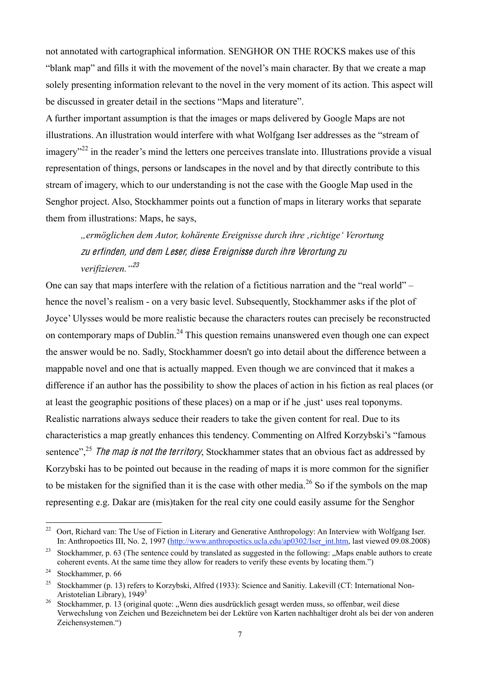not annotated with cartographical information. SENGHOR ON THE ROCKS makes use of this "blank map" and fills it with the movement of the novel's main character. By that we create a map solely presenting information relevant to the novel in the very moment of its action. This aspect will be discussed in greater detail in the sections "Maps and literature".

A further important assumption is that the images or maps delivered by Google Maps are not illustrations. An illustration would interfere with what Wolfgang Iser addresses as the "stream of  $\mu$ imagery<sup>322</sup> in the reader's mind the letters one perceives translate into. Illustrations provide a visual representation of things, persons or landscapes in the novel and by that directly contribute to this stream of imagery, which to our understanding is not the case with the Google Map used in the Senghor project. Also, Stockhammer points out a function of maps in literary works that separate them from illustrations: Maps, he says,

*"ermöglichen dem Autor, kohärente Ereignisse durch ihre 'richtige' Verortung*  zu <sup>e</sup>rfinden, und de<sup>m</sup> Leser, dies<sup>e</sup> Ereigniss<sup>e</sup> durch ihr<sup>e</sup> Verortung zu *verifizieren."*<sup>23</sup>

One can say that maps interfere with the relation of a fictitious narration and the "real world"  $$ hence the novel's realism - on a very basic level. Subsequently, Stockhammer asks if the plot of Joyce' Ulysses would be more realistic because the characters routes can precisely be reconstructed on contemporary maps of Dublin.<sup>24</sup> This question remains unanswered even though one can expect the answer would be no. Sadly, Stockhammer doesn't go into detail about the difference between a mappable novel and one that is actually mapped. Even though we are convinced that it makes a difference if an author has the possibility to show the places of action in his fiction as real places (or at least the geographic positions of these places) on a map or if he just uses real toponyms. Realistic narrations always seduce their readers to take the given content for real. Due to its characteristics a map greatly enhances this tendency. Commenting on Alfred Korzybski's "famous sentence",<sup>25</sup> The map is not the territory, Stockhammer states that an obvious fact as addressed by Korzybski has to be pointed out because in the reading of maps it is more common for the signifier to be mistaken for the signified than it is the case with other media.<sup>26</sup> So if the symbols on the map representing e.g. Dakar are (mis)taken for the real city one could easily assume for the Senghor

<sup>&</sup>lt;sup>22</sup> Oort, Richard van: The Use of Fiction in Literary and Generative Anthropology: An Interview with Wolfgang Iser. In: Anthropoetics III, No. 2, 1997 [\(http://www.anthropoetics.ucla.edu/ap0302/Iser\\_int.htm,](http://www.anthropoetics.ucla.edu/ap0302/Iser_int.htm) last viewed 09.08.2008)

<sup>&</sup>lt;sup>23</sup> Stockhammer, p. 63 (The sentence could by translated as suggested in the following: "Maps enable authors to create coherent events. At the same time they allow for readers to verify these events by locating them."

<sup>&</sup>lt;sup>24</sup> Stockhammer, p.  $66$ 

<sup>&</sup>lt;sup>25</sup> Stockhammer (p. 13) refers to Korzybski, Alfred (1933): Science and Sanitiy. Lakevill (CT: International Non-Aristotelian Library), 1949<sup>3</sup>

<sup>&</sup>lt;sup>26</sup> Stockhammer, p. 13 (original quote: "Wenn dies ausdrücklich gesagt werden muss, so offenbar, weil diese Verwechslung von Zeichen und Bezeichnetem bei der Lektüre von Karten nachhaltiger droht als bei der von anderen Zeichensystemen.")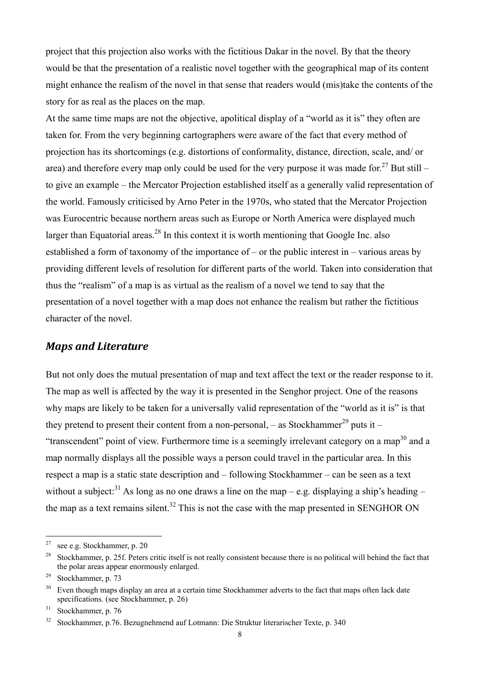project that this projection also works with the fictitious Dakar in the novel. By that the theory would be that the presentation of a realistic novel together with the geographical map of its content might enhance the realism of the novel in that sense that readers would (mis)take the contents of the story for as real as the places on the map.

At the same time maps are not the objective, apolitical display of a "world as it is" they often are taken for. From the very beginning cartographers were aware of the fact that every method of projection has its shortcomings (e.g. distortions of conformality, distance, direction, scale, and/ or area) and therefore every map only could be used for the very purpose it was made for.<sup>27</sup> But still – to give an example – the Mercator Projection established itself as a generally valid representation of the world. Famously criticised by Arno Peter in the 1970s, who stated that the Mercator Projection was Eurocentric because northern areas such as Europe or North America were displayed much larger than Equatorial areas.<sup>28</sup> In this context it is worth mentioning that Google Inc. also established a form of taxonomy of the importance of  $-$  or the public interest in  $-$  various areas by providing different levels of resolution for different parts of the world. Taken into consideration that thus the "realism" of a map is as virtual as the realism of a novel we tend to say that the presentation of a novel together with a map does not enhance the realism but rather the fictitious character of the novel.

#### *Maps and Literature*

But not only does the mutual presentation of map and text affect the text or the reader response to it. The map as well is affected by the way it is presented in the Senghor project. One of the reasons why maps are likely to be taken for a universally valid representation of the "world as it is" is that they pretend to present their content from a non-personal,  $-$  as Stockhammer<sup>29</sup> puts it  $-$ "transcendent" point of view. Furthermore time is a seemingly irrelevant category on a map<sup>30</sup> and a map normally displays all the possible ways a person could travel in the particular area. In this respect a map is a static state description and – following Stockhammer – can be seen as a text without a subject:<sup>31</sup> As long as no one draws a line on the map – e.g. displaying a ship's heading – the map as a text remains silent.<sup>32</sup> This is not the case with the map presented in SENGHOR ON

<sup>&</sup>lt;sup>27</sup> see e.g. Stockhammer, p. 20

<sup>&</sup>lt;sup>28</sup> Stockhammer, p. 25f. Peters critic itself is not really consistent because there is no political will behind the fact that the polar areas appear enormously enlarged.

<sup>29</sup> Stockhammer, p. 73

<sup>&</sup>lt;sup>30</sup> Even though maps display an area at a certain time Stockhammer adverts to the fact that maps often lack date specifications. (see Stockhammer, p. 26)

<sup>&</sup>lt;sup>31</sup> Stockhammer, p. 76

<sup>32</sup> Stockhammer, p.76. Bezugnehmend auf Lotmann: Die Struktur literarischer Texte, p. 340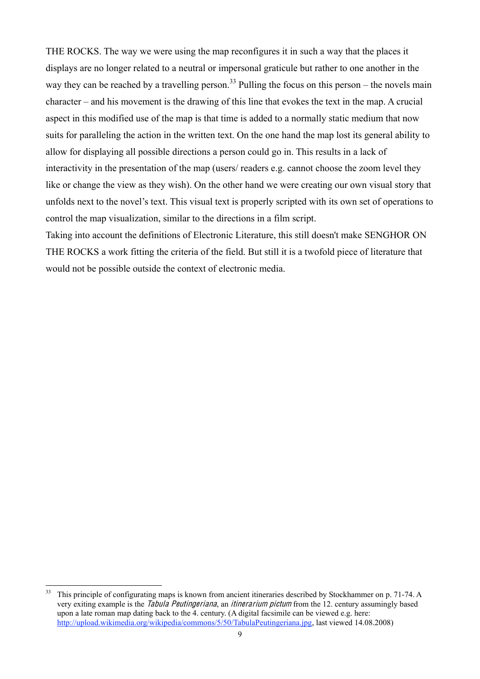THE ROCKS. The way we were using the map reconfigures it in such a way that the places it displays are no longer related to a neutral or impersonal graticule but rather to one another in the way they can be reached by a travelling person.<sup>33</sup> Pulling the focus on this person – the novels main  $character - and his movement is the drawing of this line that evokes the text in the map. A crucial$ aspect in this modified use of the map is that time is added to a normally static medium that now suits for paralleling the action in the written text. On the one hand the map lost its general ability to allow for displaying all possible directions a person could go in. This results in a lack of interactivity in the presentation of the map (users/ readers e.g. cannot choose the zoom level they like or change the view as they wish). On the other hand we were creating our own visual story that unfolds next to the novel's text. This visual text is properly scripted with its own set of operations to control the map visualization, similar to the directions in a film script.

Taking into account the definitions of Electronic Literature, this still doesn't make SENGHOR ON THE ROCKS a work fitting the criteria of the field. But still it is a twofold piece of literature that would not be possible outside the context of electronic media.

<sup>&</sup>lt;sup>33</sup> This principle of configurating maps is known from ancient itineraries described by Stockhammer on p. 71-74. A very exiting example is the *Tabula Peutingeriana*, an *itinerarium pictum* from the 12. century assumingly based upon a late roman map dating back to the 4. century. (A digital facsimile can be viewed e.g. here: [http://upload.wikimedia.org/wikipedia/commons/5/50/TabulaPeutingeriana.jpg,](http://upload.wikimedia.org/wikipedia/commons/5/50/TabulaPeutingeriana.jpg) last viewed 14.08.2008)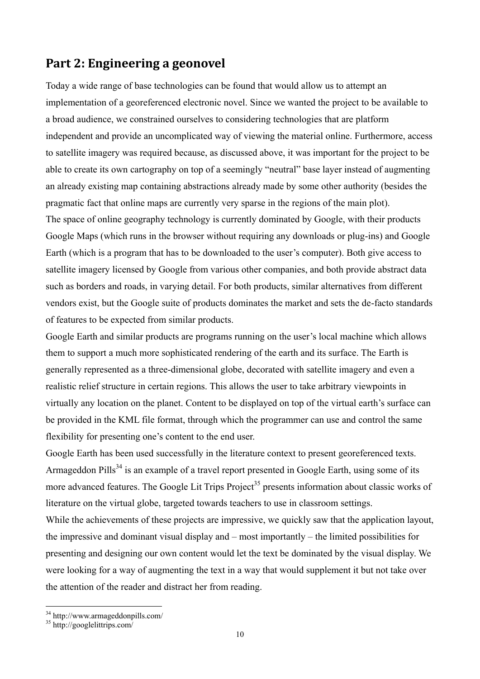## **Part 2: Engineering a geonovel**

Today a wide range of base technologies can be found that would allow us to attempt an implementation of a georeferenced electronic novel. Since we wanted the project to be available to a broad audience, we constrained ourselves to considering technologies that are platform independent and provide an uncomplicated way of viewing the material online. Furthermore, access to satellite imagery was required because, as discussed above, it was important for the project to be able to create its own cartography on top of a seemingly "neutral" base layer instead of augmenting an already existing map containing abstractions already made by some other authority (besides the pragmatic fact that online maps are currently very sparse in the regions of the main plot). The space of online geography technology is currently dominated by Google, with their products Google Maps (which runs in the browser without requiring any downloads or plug-ins) and Google Earth (which is a program that has to be downloaded to the user's computer). Both give access to satellite imagery licensed by Google from various other companies, and both provide abstract data such as borders and roads, in varying detail. For both products, similar alternatives from different vendors exist, but the Google suite of products dominates the market and sets the de-facto standards of features to be expected from similar products.

Google Earth and similar products are programs running on the user's local machine which allows them to support a much more sophisticated rendering of the earth and its surface. The Earth is generally represented as a three-dimensional globe, decorated with satellite imagery and even a realistic relief structure in certain regions. This allows the user to take arbitrary viewpoints in virtually any location on the planet. Content to be displayed on top of the virtual earth's surface can be provided in the KML file format, through which the programmer can use and control the same flexibility for presenting one's content to the end user.

Google Earth has been used successfully in the literature context to present georeferenced texts. Armageddon Pills<sup>34</sup> is an example of a travel report presented in Google Earth, using some of its more advanced features. The Google Lit Trips Project<sup>35</sup> presents information about classic works of literature on the virtual globe, targeted towards teachers to use in classroom settings.

While the achievements of these projects are impressive, we quickly saw that the application layout, the impressive and dominant visual display and  $-$  most importantly  $-$  the limited possibilities for presenting and designing our own content would let the text be dominated by the visual display. We were looking for a way of augmenting the text in a way that would supplement it but not take over the attention of the reader and distract her from reading.

<sup>34</sup> http://www.armageddonpills.com/ <sup>35</sup> http://googlelittrips.com/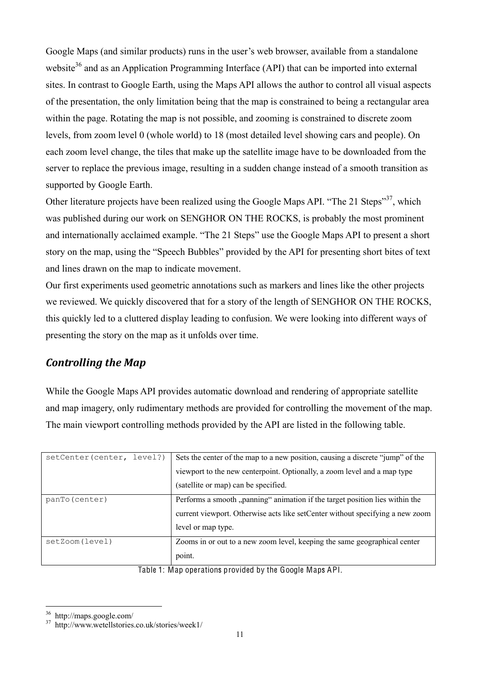Google Maps (and similar products) runs in the user's web browser, available from a standalone website<sup>36</sup> and as an Application Programming Interface (API) that can be imported into external sites. In contrast to Google Earth, using the Maps API allows the author to control all visual aspects of the presentation, the only limitation being that the map is constrained to being a rectangular area within the page. Rotating the map is not possible, and zooming is constrained to discrete zoom levels, from zoom level 0 (whole world) to 18 (most detailed level showing cars and people). On each zoom level change, the tiles that make up the satellite image have to be downloaded from the server to replace the previous image, resulting in a sudden change instead of a smooth transition as supported by Google Earth.

Other literature projects have been realized using the Google Maps API. "The 21 Steps"<sup>37</sup>, which was published during our work on SENGHOR ON THE ROCKS, is probably the most prominent and internationally acclaimed example. "The 21 Steps" use the Google Maps API to present a short story on the map, using the "Speech Bubbles" provided by the API for presenting short bites of text and lines drawn on the map to indicate movement.

Our first experiments used geometric annotations such as markers and lines like the other projects we reviewed. We quickly discovered that for a story of the length of SENGHOR ON THE ROCKS, this quickly led to a cluttered display leading to confusion. We were looking into different ways of presenting the story on the map as it unfolds over time.

### *Controlling the Map*

While the Google Maps API provides automatic download and rendering of appropriate satellite and map imagery, only rudimentary methods are provided for controlling the movement of the map. The main viewport controlling methods provided by the API are listed in the following table.

| setCenter (center, level?) | Sets the center of the map to a new position, causing a discrete "jump" of the |
|----------------------------|--------------------------------------------------------------------------------|
|                            | viewport to the new centerpoint. Optionally, a zoom level and a map type       |
|                            | (satellite or map) can be specified.                                           |
| panTo (center)             | Performs a smooth "panning" animation if the target position lies within the   |
|                            | current viewport. Otherwise acts like setCenter without specifying a new zoom  |
|                            | level or map type.                                                             |
| setZoom(level)             | Zooms in or out to a new zoom level, keeping the same geographical center      |
|                            | point.                                                                         |

Table 1: Map operations provided by the Google Maps API.

<sup>36</sup> http://maps.google.com/ <sup>37</sup> http://www.wetellstories.co.uk/stories/week1/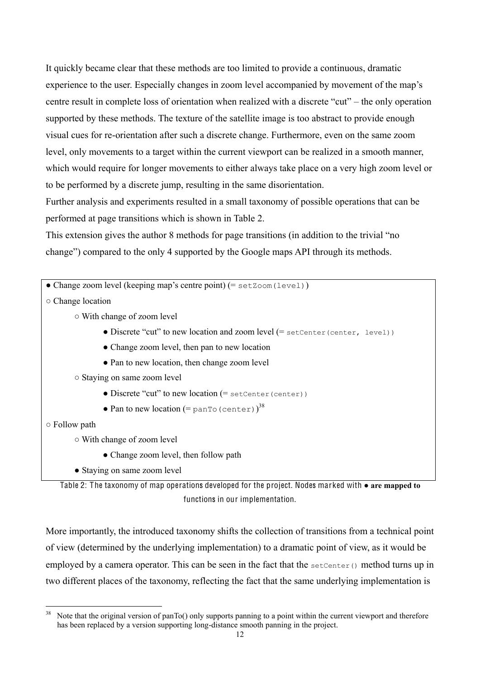It quickly became clear that these methods are too limited to provide a continuous, dramatic experience to the user. Especially changes in zoom level accompanied by movement of the map's centre result in complete loss of orientation when realized with a discrete "cut" – the only operation supported by these methods. The texture of the satellite image is too abstract to provide enough visual cues for re-orientation after such a discrete change. Furthermore, even on the same zoom level, only movements to a target within the current viewport can be realized in a smooth manner, which would require for longer movements to either always take place on a very high zoom level or to be performed by a discrete jump, resulting in the same disorientation.

Further analysis and experiments resulted in a small taxonomy of possible operations that can be performed at page transitions which is shown in Table 2.

This extension gives the author 8 methods for page transitions (in addition to the trivial "no change") compared to the only 4 supported by the Google maps API through its methods.

| • Change zoom level (keeping map's centre point) (= set Zoom (level))         |  |
|-------------------------------------------------------------------------------|--|
| $\circ$ Change location                                                       |  |
| ○ With change of zoom level                                                   |  |
| • Discrete "cut" to new location and zoom level (= setCenter (center, level)) |  |
| • Change zoom level, then pan to new location                                 |  |
| • Pan to new location, then change zoom level                                 |  |
| ○ Staying on same zoom level                                                  |  |
| • Discrete "cut" to new location $(=$ setCenter (center))                     |  |
| • Pan to new location $(=$ panTo (center)) <sup>38</sup>                      |  |
| $\circ$ Follow path                                                           |  |
| ○ With change of zoom level                                                   |  |
| • Change zoom level, then follow path                                         |  |

• Staying on same zoom level

Table 2: The taxonomy of map operations developed for the project. Nodes marked with **● are mapped to**  functions in our implementation.

More importantly, the introduced taxonomy shifts the collection of transitions from a technical point of view (determined by the underlying implementation) to a dramatic point of view, as it would be employed by a camera operator. This can be seen in the fact that the set Center () method turns up in two different places of the taxonomy, reflecting the fact that the same underlying implementation is

Note that the original version of panTo() only supports panning to a point within the current viewport and therefore has been replaced by a version supporting long-distance smooth panning in the project.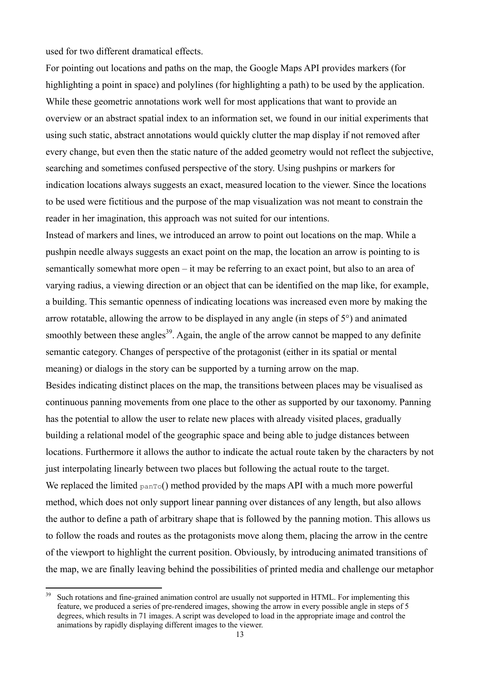used for two different dramatical effects.

For pointing out locations and paths on the map, the Google Maps API provides markers (for highlighting a point in space) and polylines (for highlighting a path) to be used by the application. While these geometric annotations work well for most applications that want to provide an overview or an abstract spatial index to an information set, we found in our initial experiments that using such static, abstract annotations would quickly clutter the map display if not removed after every change, but even then the static nature of the added geometry would not reflect the subjective, searching and sometimes confused perspective of the story. Using pushpins or markers for indication locations always suggests an exact, measured location to the viewer. Since the locations to be used were fictitious and the purpose of the map visualization was not meant to constrain the reader in her imagination, this approach was not suited for our intentions.

Instead of markers and lines, we introduced an arrow to point out locations on the map. While a pushpin needle always suggests an exact point on the map, the location an arrow is pointing to is semantically somewhat more open  $-\text{ it}$  may be referring to an exact point, but also to an area of varying radius, a viewing direction or an object that can be identified on the map like, for example, a building. This semantic openness of indicating locations was increased even more by making the arrow rotatable, allowing the arrow to be displayed in any angle (in steps of 5°) and animated smoothly between these angles<sup>39</sup>. Again, the angle of the arrow cannot be mapped to any definite semantic category. Changes of perspective of the protagonist (either in its spatial or mental meaning) or dialogs in the story can be supported by a turning arrow on the map.

Besides indicating distinct places on the map, the transitions between places may be visualised as continuous panning movements from one place to the other as supported by our taxonomy. Panning has the potential to allow the user to relate new places with already visited places, gradually building a relational model of the geographic space and being able to judge distances between locations. Furthermore it allows the author to indicate the actual route taken by the characters by not just interpolating linearly between two places but following the actual route to the target. We replaced the limited  $parrow($ ) method provided by the maps API with a much more powerful method, which does not only support linear panning over distances of any length, but also allows the author to define a path of arbitrary shape that is followed by the panning motion. This allows us to follow the roads and routes as the protagonists move along them, placing the arrow in the centre of the viewport to highlight the current position. Obviously, by introducing animated transitions of the map, we are finally leaving behind the possibilities of printed media and challenge our metaphor

<sup>&</sup>lt;sup>39</sup> Such rotations and fine-grained animation control are usually not supported in HTML. For implementing this feature, we produced a series of pre-rendered images, showing the arrow in every possible angle in steps of 5 degrees, which results in 71 images. A script was developed to load in the appropriate image and control the animations by rapidly displaying different images to the viewer.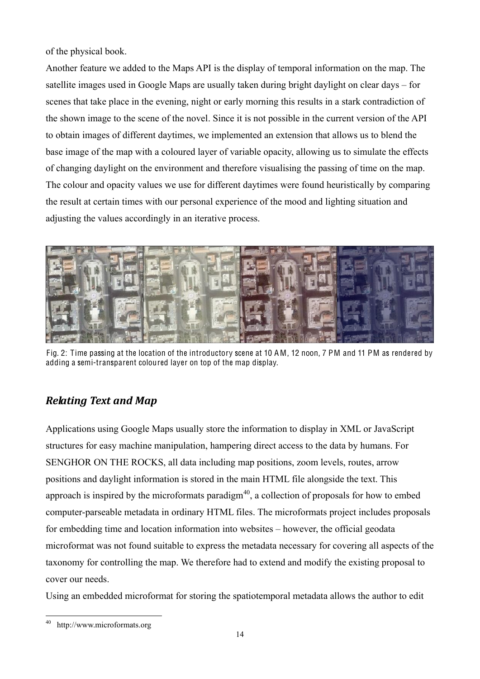of the physical book.

Another feature we added to the Maps API is the display of temporal information on the map. The satellite images used in Google Maps are usually taken during bright daylight on clear days  $-$  for scenes that take place in the evening, night or early morning this results in a stark contradiction of the shown image to the scene of the novel. Since it is not possible in the current version of the API to obtain images of different daytimes, we implemented an extension that allows us to blend the base image of the map with a coloured layer of variable opacity, allowing us to simulate the effects of changing daylight on the environment and therefore visualising the passing of time on the map. The colour and opacity values we use for different daytimes were found heuristically by comparing the result at certain times with our personal experience of the mood and lighting situation and adjusting the values accordingly in an iterative process.



Fig. 2: Time passing at the location of the introductory scene at 10 AM, 12 noon, 7 PM and 11 PM as rendered by adding a semi-transparent coloured layer on top of the map display.

## *Relating Text and Map*

Applications using Google Maps usually store the information to display in XML or JavaScript structures for easy machine manipulation, hampering direct access to the data by humans. For SENGHOR ON THE ROCKS, all data including map positions, zoom levels, routes, arrow positions and daylight information is stored in the main HTML file alongside the text. This approach is inspired by the microformats paradigm $40$ , a collection of proposals for how to embed computer-parseable metadata in ordinary HTML files. The microformats project includes proposals for embedding time and location information into websites – however, the official geodata microformat was not found suitable to express the metadata necessary for covering all aspects of the taxonomy for controlling the map. We therefore had to extend and modify the existing proposal to cover our needs.

Using an embedded microformat for storing the spatiotemporal metadata allows the author to edit

 <sup>40</sup> http://www.microformats.org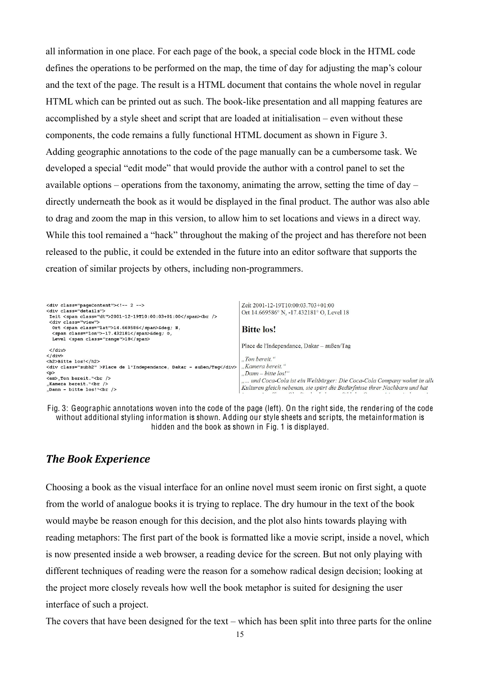all information in one place. For each page of the book, a special code block in the HTML code defines the operations to be performed on the map, the time of day for adjusting the map's colour and the text of the page. The result is a HTML document that contains the whole novel in regular HTML which can be printed out as such. The book-like presentation and all mapping features are accomplished by a style sheet and script that are loaded at initialisation  $-$  even without these components, the code remains a fully functional HTML document as shown in Figure 3. Adding geographic annotations to the code of the page manually can be a cumbersome task. We developed a special "edit mode" that would provide the author with a control panel to set the available options – operations from the taxonomy, animating the arrow, setting the time of day – directly underneath the book as it would be displayed in the final product. The author was also able to drag and zoom the map in this version, to allow him to set locations and views in a direct way. While this tool remained a "hack" throughout the making of the project and has therefore not been released to the public, it could be extended in the future into an editor software that supports the creation of similar projects by others, including non-programmers.

| <div class="pageContent"><!-- 2 --><br/><div class="details"><br/>Zeit <span class="dt">2001-12-19T10:00:03+01:00</span><br/><br/><div class="view"></div></div></div>                                                                                                       | Zeit 2001-12-19T10:00:03.703+01:00<br>Ort 14.669586° N, -17.432181° O, Level 18                                                                                                                                                                            |
|------------------------------------------------------------------------------------------------------------------------------------------------------------------------------------------------------------------------------------------------------------------------------|------------------------------------------------------------------------------------------------------------------------------------------------------------------------------------------------------------------------------------------------------------|
| Ort <span class="lat">14.669586</span> &deq N.<br><span class="lon">-17.432181</span> &deq 0,<br>Level <span class="range">18</span>                                                                                                                                         | <b>Bitte</b> los!                                                                                                                                                                                                                                          |
| $\langle$ /div><br>$\langle$ /div><br><h2>Bitte los!</h2><br><div class="subh2">Place de l'Independance, Dakar - außen/Taq</div><br>< p ><br><em>,Ton bereit."<br/><br/>"Kamera bereit."<math>\langle</math>br /&gt;<br/>.Dann - bitte <math>\log</math>" &lt; br /&gt;</em> | Place de l'Independance, Dakar – außen/Tag<br>"Ton bereit."<br>"Kamera bereit."<br>$Dam-bitte$ los!"<br>und Coca-Cola ist ein Weltbürger: Die Coca-Cola Company wohnt in alle<br>Kulturen gleich nebenan, sie spürt die Bedürfnisse ihrer Nachbarn und hat |



### *The Book Experience*

Choosing a book as the visual interface for an online novel must seem ironic on first sight, a quote from the world of analogue books it is trying to replace. The dry humour in the text of the book would maybe be reason enough for this decision, and the plot also hints towards playing with reading metaphors: The first part of the book is formatted like a movie script, inside a novel, which is now presented inside a web browser, a reading device for the screen. But not only playing with different techniques of reading were the reason for a somehow radical design decision; looking at the project more closely reveals how well the book metaphor is suited for designing the user interface of such a project.

The covers that have been designed for the text – which has been split into three parts for the online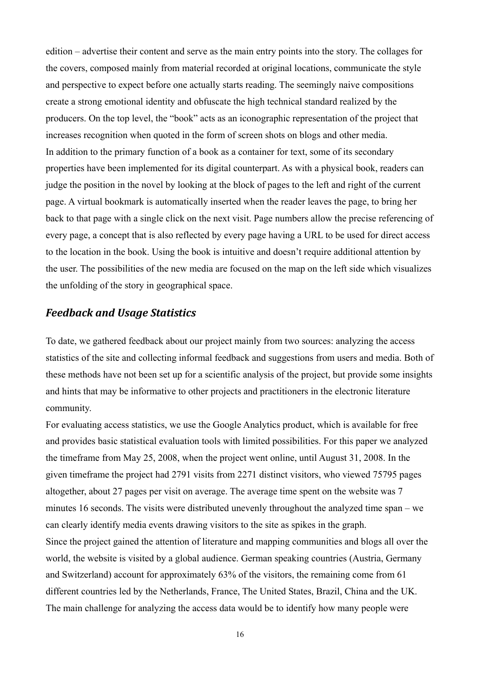edition – advertise their content and serve as the main entry points into the story. The collages for the covers, composed mainly from material recorded at original locations, communicate the style and perspective to expect before one actually starts reading. The seemingly naive compositions create a strong emotional identity and obfuscate the high technical standard realized by the producers. On the top level, the "book" acts as an iconographic representation of the project that increases recognition when quoted in the form of screen shots on blogs and other media. In addition to the primary function of a book as a container for text, some of its secondary properties have been implemented for its digital counterpart. As with a physical book, readers can judge the position in the novel by looking at the block of pages to the left and right of the current page. A virtual bookmark is automatically inserted when the reader leaves the page, to bring her back to that page with a single click on the next visit. Page numbers allow the precise referencing of every page, a concept that is also reflected by every page having a URL to be used for direct access to the location in the book. Using the book is intuitive and doesn't require additional attention by the user. The possibilities of the new media are focused on the map on the left side which visualizes the unfolding of the story in geographical space.

#### *Feedback and Usage Statistics*

To date, we gathered feedback about our project mainly from two sources: analyzing the access statistics of the site and collecting informal feedback and suggestions from users and media. Both of these methods have not been set up for a scientific analysis of the project, but provide some insights and hints that may be informative to other projects and practitioners in the electronic literature community.

For evaluating access statistics, we use the Google Analytics product, which is available for free and provides basic statistical evaluation tools with limited possibilities. For this paper we analyzed the timeframe from May 25, 2008, when the project went online, until August 31, 2008. In the given timeframe the project had 2791 visits from 2271 distinct visitors, who viewed 75795 pages altogether, about 27 pages per visit on average. The average time spent on the website was 7 minutes 16 seconds. The visits were distributed unevenly throughout the analyzed time span – we can clearly identify media events drawing visitors to the site as spikes in the graph. Since the project gained the attention of literature and mapping communities and blogs all over the world, the website is visited by a global audience. German speaking countries (Austria, Germany and Switzerland) account for approximately 63% of the visitors, the remaining come from 61 different countries led by the Netherlands, France, The United States, Brazil, China and the UK. The main challenge for analyzing the access data would be to identify how many people were

16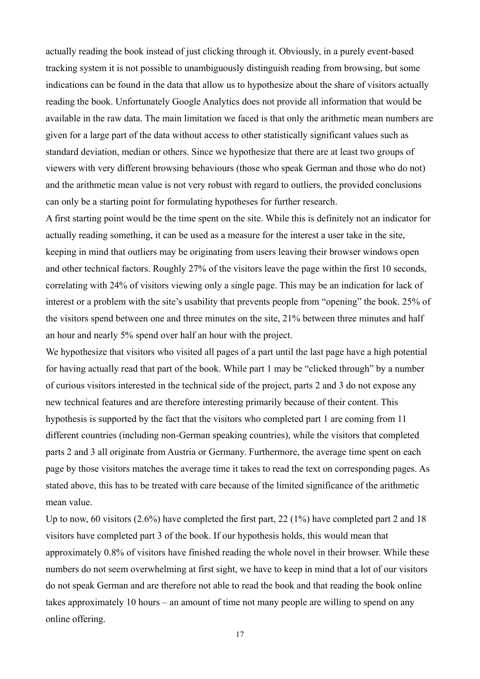actually reading the book instead of just clicking through it. Obviously, in a purely event-based tracking system it is not possible to unambiguously distinguish reading from browsing, but some indications can be found in the data that allow us to hypothesize about the share of visitors actually reading the book. Unfortunately Google Analytics does not provide all information that would be available in the raw data. The main limitation we faced is that only the arithmetic mean numbers are given for a large part of the data without access to other statistically significant values such as standard deviation, median or others. Since we hypothesize that there are at least two groups of viewers with very different browsing behaviours (those who speak German and those who do not) and the arithmetic mean value is not very robust with regard to outliers, the provided conclusions can only be a starting point for formulating hypotheses for further research.

A first starting point would be the time spent on the site. While this is definitely not an indicator for actually reading something, it can be used as a measure for the interest a user take in the site, keeping in mind that outliers may be originating from users leaving their browser windows open and other technical factors. Roughly 27% of the visitors leave the page within the first 10 seconds, correlating with 24% of visitors viewing only a single page. This may be an indication for lack of interest or a problem with the site's usability that prevents people from "opening" the book. 25% of the visitors spend between one and three minutes on the site, 21% between three minutes and half an hour and nearly 5% spend over half an hour with the project.

We hypothesize that visitors who visited all pages of a part until the last page have a high potential for having actually read that part of the book. While part 1 may be "clicked through" by a number of curious visitors interested in the technical side of the project, parts 2 and 3 do not expose any new technical features and are therefore interesting primarily because of their content. This hypothesis is supported by the fact that the visitors who completed part 1 are coming from 11 different countries (including non-German speaking countries), while the visitors that completed parts 2 and 3 all originate from Austria or Germany. Furthermore, the average time spent on each page by those visitors matches the average time it takes to read the text on corresponding pages. As stated above, this has to be treated with care because of the limited significance of the arithmetic mean value.

Up to now, 60 visitors (2.6%) have completed the first part, 22 (1%) have completed part 2 and 18 visitors have completed part 3 of the book. If our hypothesis holds, this would mean that approximately 0.8% of visitors have finished reading the whole novel in their browser. While these numbers do not seem overwhelming at first sight, we have to keep in mind that a lot of our visitors do not speak German and are therefore not able to read the book and that reading the book online takes approximately 10 hours  $-$  an amount of time not many people are willing to spend on any online offering.

17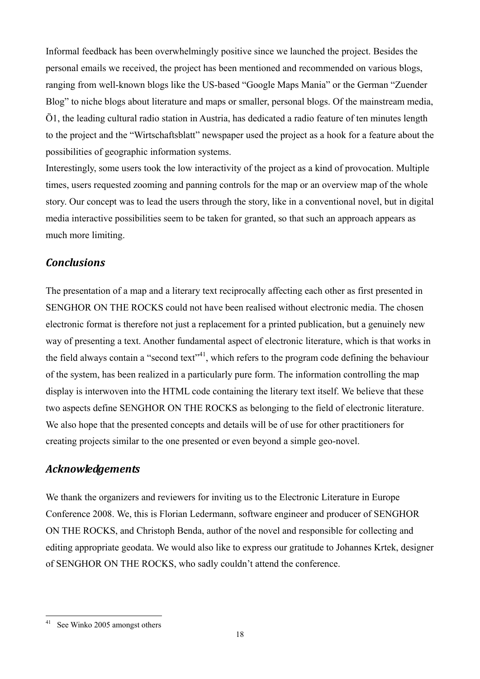Informal feedback has been overwhelmingly positive since we launched the project. Besides the personal emails we received, the project has been mentioned and recommended on various blogs, ranging from well-known blogs like the US-based "Google Maps Mania" or the German "Zuender Blog" to niche blogs about literature and maps or smaller, personal blogs. Of the mainstream media, Ö1, the leading cultural radio station in Austria, has dedicated a radio feature of ten minutes length to the project and the "Wirtschaftsblatt" newspaper used the project as a hook for a feature about the possibilities of geographic information systems.

Interestingly, some users took the low interactivity of the project as a kind of provocation. Multiple times, users requested zooming and panning controls for the map or an overview map of the whole story. Our concept was to lead the users through the story, like in a conventional novel, but in digital media interactive possibilities seem to be taken for granted, so that such an approach appears as much more limiting.

### *Conclusions*

The presentation of a map and a literary text reciprocally affecting each other as first presented in SENGHOR ON THE ROCKS could not have been realised without electronic media. The chosen electronic format is therefore not just a replacement for a printed publication, but a genuinely new way of presenting a text. Another fundamental aspect of electronic literature, which is that works in the field always contain a "second text"<sup>41</sup>, which refers to the program code defining the behaviour of the system, has been realized in a particularly pure form. The information controlling the map display is interwoven into the HTML code containing the literary text itself. We believe that these two aspects define SENGHOR ON THE ROCKS as belonging to the field of electronic literature. We also hope that the presented concepts and details will be of use for other practitioners for creating projects similar to the one presented or even beyond a simple geo-novel.

#### *Acknowledgements*

We thank the organizers and reviewers for inviting us to the Electronic Literature in Europe Conference 2008. We, this is Florian Ledermann, software engineer and producer of SENGHOR ON THE ROCKS, and Christoph Benda, author of the novel and responsible for collecting and editing appropriate geodata. We would also like to express our gratitude to Johannes Krtek, designer of SENGHOR ON THE ROCKS, who sadly couldn't attend the conference.

See Winko 2005 amongst others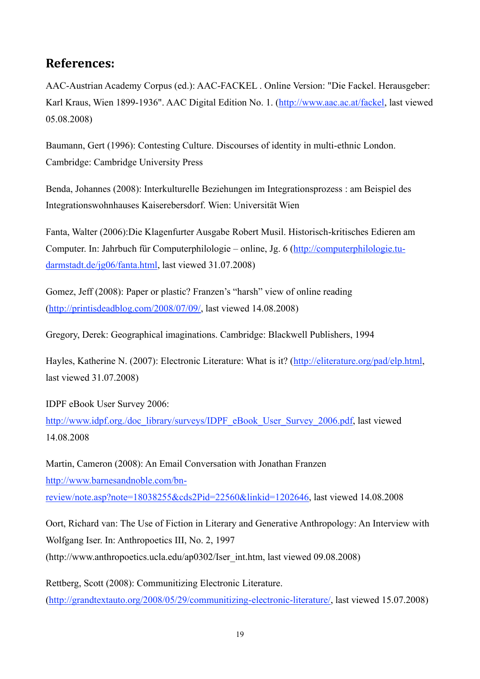## **References:**

AAC-Austrian Academy Corpus (ed.): AAC-FACKEL . Online Version: "Die Fackel. Herausgeber: Karl Kraus, Wien 1899-1936". AAC Digital Edition No. 1. [\(http://www.aac.ac.at/fackel,](http://www.aac.ac.at/fackel) last viewed 05.08.2008)

Baumann, Gert (1996): Contesting Culture. Discourses of identity in multi-ethnic London. Cambridge: Cambridge University Press

Benda, Johannes (2008): Interkulturelle Beziehungen im Integrationsprozess : am Beispiel des Integrationswohnhauses Kaiserebersdorf. Wien: Universität Wien

Fanta, Walter (2006):Die Klagenfurter Ausgabe Robert Musil. Historisch-kritisches Edieren am Computer. In: Jahrbuch für Computerphilologie – online, Jg. 6 [\(http://computerphilologie.tu](http://computerphilologie.tu-darmstadt.de/jg06/fanta.html)[darmstadt.de/jg06/fanta.html,](http://computerphilologie.tu-darmstadt.de/jg06/fanta.html) last viewed 31.07.2008)

Gomez, Jeff (2008): Paper or plastic? Franzen's "harsh" view of online reading [\(http://printisdeadblog.com/2008/07/09/,](http://printisdeadblog.com/2008/07/09/) last viewed 14.08.2008)

Gregory, Derek: Geographical imaginations. Cambridge: Blackwell Publishers, 1994

Hayles, Katherine N. (2007): Electronic Literature: What is it? [\(http://eliterature.org/pad/elp.html,](http://eliterature.org/pad/elp.html) last viewed 31.07.2008)

IDPF eBook User Survey 2006: [http://www.idpf.org./doc\\_library/surveys/IDPF\\_eBook\\_User\\_Survey\\_2006.pdf,](http://www.idpf.org./doc_library/surveys/IDPF_eBook_User_Survey_2006.pdf) last viewed 14.08.2008

Martin, Cameron (2008): An Email Conversation with Jonathan Franzen [http://www.barnesandnoble.com/bn](http://www.barnesandnoble.com/bn-review/note.asp?note=18038255&cds2Pid=22560&linkid=1202646)[review/note.asp?note=18038255&cds2Pid=22560&linkid=1202646,](http://www.barnesandnoble.com/bn-review/note.asp?note=18038255&cds2Pid=22560&linkid=1202646) last viewed 14.08.2008

Oort, Richard van: The Use of Fiction in Literary and Generative Anthropology: An Interview with Wolfgang Iser. In: Anthropoetics III, No. 2, 1997 (http://www.anthropoetics.ucla.edu/ap0302/Iser\_int.htm, last viewed 09.08.2008)

Rettberg, Scott (2008): Communitizing Electronic Literature. [\(http://grandtextauto.org/2008/05/29/communitizing-electronic-literature/,](http://grandtextauto.org/2008/05/29/communitizing-electronic-literature/) last viewed 15.07.2008)